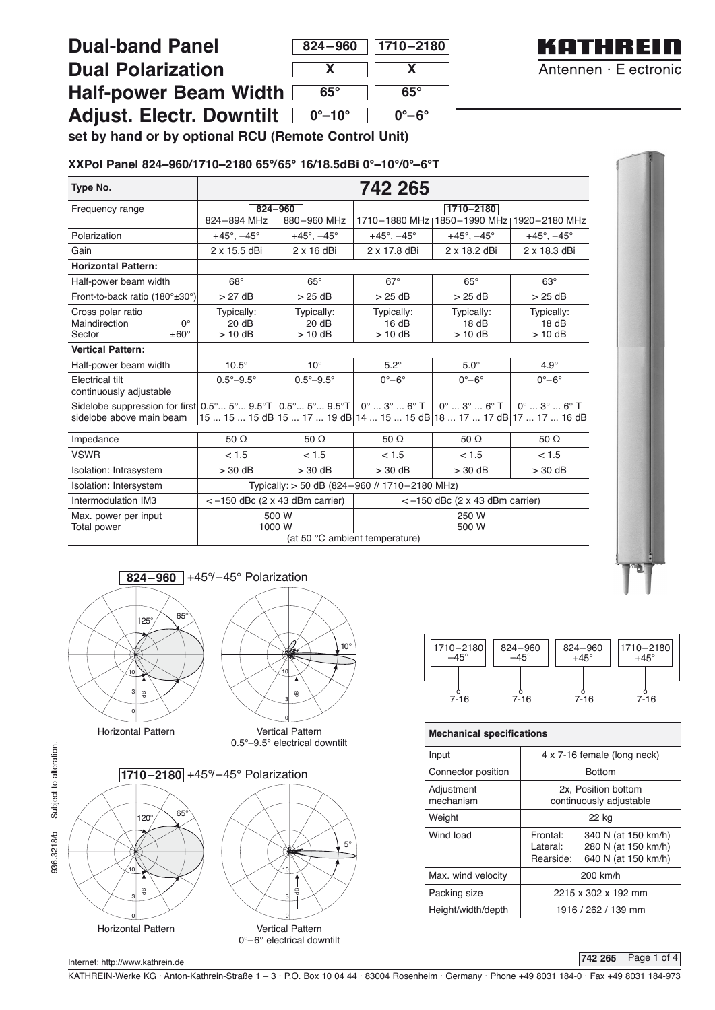## **Dual-band Panel Dual**

| <b>Dual Polarization</b>        |  |  |  |  |
|---------------------------------|--|--|--|--|
| <b>Half-power Beam Width</b>    |  |  |  |  |
| <b>Adjust. Electr. Downtilt</b> |  |  |  |  |

| 824-960                | $ 1710 - 2180 $ |  |  |
|------------------------|-----------------|--|--|
| x                      | X               |  |  |
| 65°                    | 65°             |  |  |
| $0^\circ$ –10 $^\circ$ | 0°–6°           |  |  |



**set by hand or by optional RCU (Remote Control Unit)**

#### **XXPol Panel 824–960/1710–2180 65°/65° 16/18.5dBi 0°–10°/0°–6°T**

| Type No.                                                                                                                                                   | 742 265                                                              |                                  |                                                                                                                  |                                                            |                                       |
|------------------------------------------------------------------------------------------------------------------------------------------------------------|----------------------------------------------------------------------|----------------------------------|------------------------------------------------------------------------------------------------------------------|------------------------------------------------------------|---------------------------------------|
| Frequency range                                                                                                                                            | 824-894 MHz                                                          | 824-960<br>880-960 MHz           |                                                                                                                  | 1710-2180<br>1710-1880 MHz   1850-1990 MHz   1920-2180 MHz |                                       |
| Polarization                                                                                                                                               | $+45^{\circ}$ , $-45^{\circ}$                                        | $+45^{\circ}$ , $-45^{\circ}$    | $+45^{\circ}$ , $-45^{\circ}$                                                                                    | $+45^{\circ}$ , $-45^{\circ}$                              | $+45^{\circ}$ , $-45^{\circ}$         |
| Gain                                                                                                                                                       | 2 x 15.5 dBi                                                         | $2 \times 16$ dBi                | 2 x 17.8 dBi                                                                                                     | 2 x 18.2 dBi                                               | 2 x 18.3 dBi                          |
| <b>Horizontal Pattern:</b>                                                                                                                                 |                                                                      |                                  |                                                                                                                  |                                                            |                                       |
| Half-power beam width                                                                                                                                      | $68^\circ$                                                           | $65^\circ$                       | $67^\circ$                                                                                                       | $65^\circ$                                                 | $63^\circ$                            |
| Front-to-back ratio (180°±30°)                                                                                                                             | $>27$ dB                                                             | $>25$ dB                         | $>25$ dB                                                                                                         | $>25$ dB                                                   | $>25$ dB                              |
| Cross polar ratio<br>Maindirection<br>$0^{\circ}$<br>$\pm 60^\circ$<br>Sector                                                                              | Typically:<br>20dB<br>$> 10$ dB                                      | Typically:<br>20 dB<br>$> 10$ dB | Typically:<br>16 dB<br>$>$ 10 dB                                                                                 | Typically:<br>18dB<br>$>$ 10 dB                            | Typically:<br>18dB<br>$>$ 10 dB       |
| <b>Vertical Pattern:</b>                                                                                                                                   |                                                                      |                                  |                                                                                                                  |                                                            |                                       |
| Half-power beam width                                                                                                                                      | $10.5^\circ$                                                         | $10^{\circ}$                     | $5.2^\circ$                                                                                                      | $5.0^\circ$                                                | $4.9^\circ$                           |
| <b>Electrical tilt</b><br>continuously adjustable                                                                                                          | $0.5^{\circ} - 9.5^{\circ}$                                          | $0.5^{\circ} - 9.5^{\circ}$      | $0^\circ - 6^\circ$                                                                                              | $0^\circ - 6^\circ$                                        | $0^\circ - 6^\circ$                   |
| Sidelobe suppression for first $0.5^{\circ}$ $5^{\circ}$ $9.5^{\circ}$ T $\mid 0.5^{\circ}$ $5^{\circ}$ $9.5^{\circ}$ T $\mid$<br>sidelobe above main beam |                                                                      |                                  | $0^{\circ}$ $3^{\circ}$ $6^{\circ}$ T  <br>15  15  15 dB 15  17  19 dB 14  15  15 dB 18  17  17 dB 17  17  16 dB | $0^\circ$ $3^\circ$ $6^\circ$ T                            | $0^{\circ}$ $3^{\circ}$ $6^{\circ}$ T |
| Impedance                                                                                                                                                  | 50 $\Omega$                                                          | 50 $\Omega$                      | 50 $\Omega$                                                                                                      | 50 $\Omega$                                                | 50 $\Omega$                           |
| <b>VSWR</b>                                                                                                                                                | < 1.5                                                                | < 1.5                            | < 1.5                                                                                                            | < 1.5                                                      | < 1.5                                 |
| Isolation: Intrasystem                                                                                                                                     | $>30$ dB                                                             | $> 30$ dB                        | $> 30$ dB                                                                                                        | $>30$ dB                                                   | $> 30$ dB                             |
| Isolation: Intersystem                                                                                                                                     | Typically: > 50 dB (824-960 // 1710-2180 MHz)                        |                                  |                                                                                                                  |                                                            |                                       |
| Intermodulation IM3                                                                                                                                        | $<-150$ dBc (2 x 43 dBm carrier)<br>$<-150$ dBc (2 x 43 dBm carrier) |                                  |                                                                                                                  |                                                            |                                       |
| Max. power per input<br>Total power                                                                                                                        | 500 W<br>1000 W<br>(at 50 °C ambient temperature)                    |                                  |                                                                                                                  | 250 W<br>500 W                                             |                                       |





Horizontal Pattern Vertical Pattern

0.5°–9.5° electrical downtilt

936.3218/b Subject to alteration. 936.3218/b Subject to alteration.



| 1710-2180<br>824-960<br>$-45^{\circ}$<br>$-45^{\circ}$ |          | $824 - 960$<br>$+45^\circ$ | 1710-2180<br>$+45^\circ$ |  |
|--------------------------------------------------------|----------|----------------------------|--------------------------|--|
| $7 - 16$                                               | $7 - 16$ | $7 - 16$                   | $7 - 16$                 |  |

### **Mechanical specifications**

| Input                   | 4 x 7-16 female (long neck)                                                                            |  |  |
|-------------------------|--------------------------------------------------------------------------------------------------------|--|--|
| Connector position      | <b>Bottom</b>                                                                                          |  |  |
| Adjustment<br>mechanism | 2x, Position bottom<br>continuously adjustable                                                         |  |  |
| Weight                  | 22 kg                                                                                                  |  |  |
| Wind load               | Frontal:<br>340 N (at 150 km/h)<br>Lateral:<br>280 N (at 150 km/h)<br>Rearside:<br>640 N (at 150 km/h) |  |  |
| Max. wind velocity      | 200 km/h                                                                                               |  |  |
| Packing size            | 2215 x 302 x 192 mm                                                                                    |  |  |
| Height/width/depth      | 1916 / 262 / 139 mm                                                                                    |  |  |

#### **742 265** Page 1 of 4

Internet: http://www.kathrein.de

KATHREIN-Werke KG . Anton-Kathrein-Straße 1 – 3 . P.O. Box 10 04 44 . 83004 Rosenheim . Germany . Phone +49 8031 184-0 . Fax +49 8031 184-973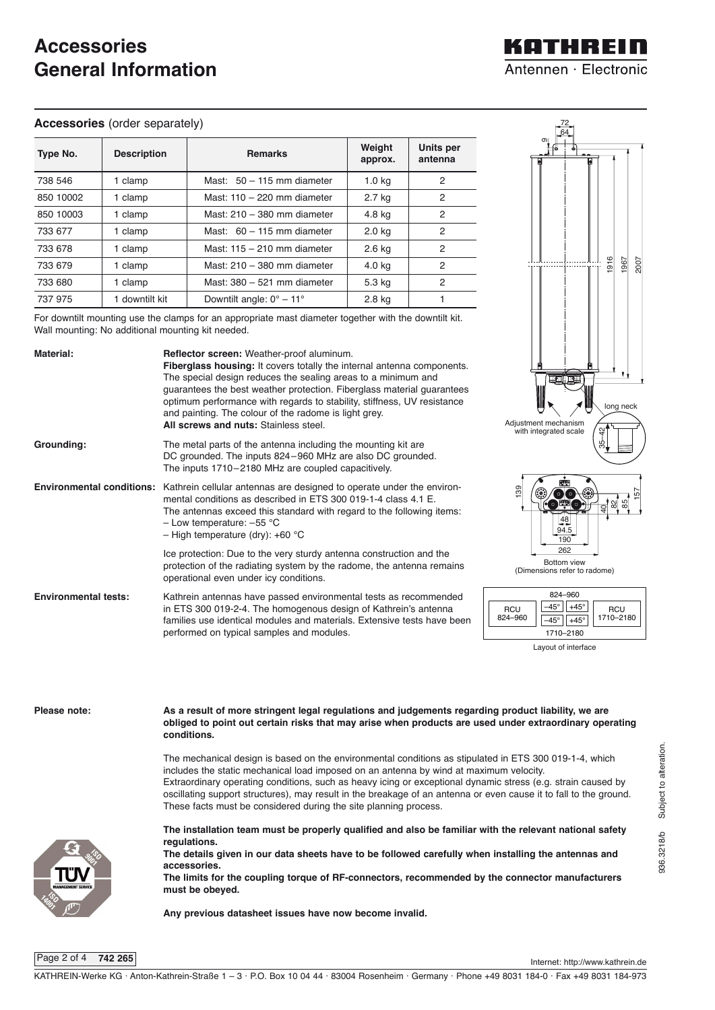# **Accessories General Information**

#### **Accessories** (order separately)

| Type No.  | <b>Description</b> | <b>Remarks</b>                       | Weight<br>approx. | Units per<br>antenna |
|-----------|--------------------|--------------------------------------|-------------------|----------------------|
| 738 546   | 1 clamp            | Mast: $50 - 115$ mm diameter         | 1.0 <sub>kq</sub> | 2                    |
| 850 10002 | 1 clamp            | Mast: $110 - 220$ mm diameter        | 2.7 kg            | 2                    |
| 850 10003 | 1 clamp            | Mast: $210 - 380$ mm diameter        | 4.8 kg            | 2                    |
| 733 677   | 1 clamp            | Mast: $60 - 115$ mm diameter         | 2.0 <sub>kq</sub> | 2                    |
| 733 678   | 1 clamp            | Mast: $115 - 210$ mm diameter        | 2.6 kg            | 2                    |
| 733 679   | 1 clamp            | Mast: 210 - 380 mm diameter          | 4.0 kg            | 2                    |
| 733 680   | 1 clamp            | Mast: 380 - 521 mm diameter          | 5.3 kg            | $\overline{2}$       |
| 737 975   | 1 downtilt kit     | Downtilt angle: $0^\circ - 11^\circ$ | 2.8 kg            |                      |

For downtilt mounting use the clamps for an appropriate mast diameter together with the downtilt kit. Wall mounting: No additional mounting kit needed.



**The limits for the coupling torque of RF-connectors, recommended by the connector manufacturers must be obeyed.**

**Any previous datasheet issues have now become invalid.** 

Page 2 of 4 **742 265**

Internet: http://www.kathrein.de

936.3218/b Subject to alteration.

936.3218/b Subject to alteration

# KATHREIN Antennen · Electronic

72 64 σ.

> 1916 1967 2007

> > 82 85 157

long neck

35–42

**RCU** 1710–2180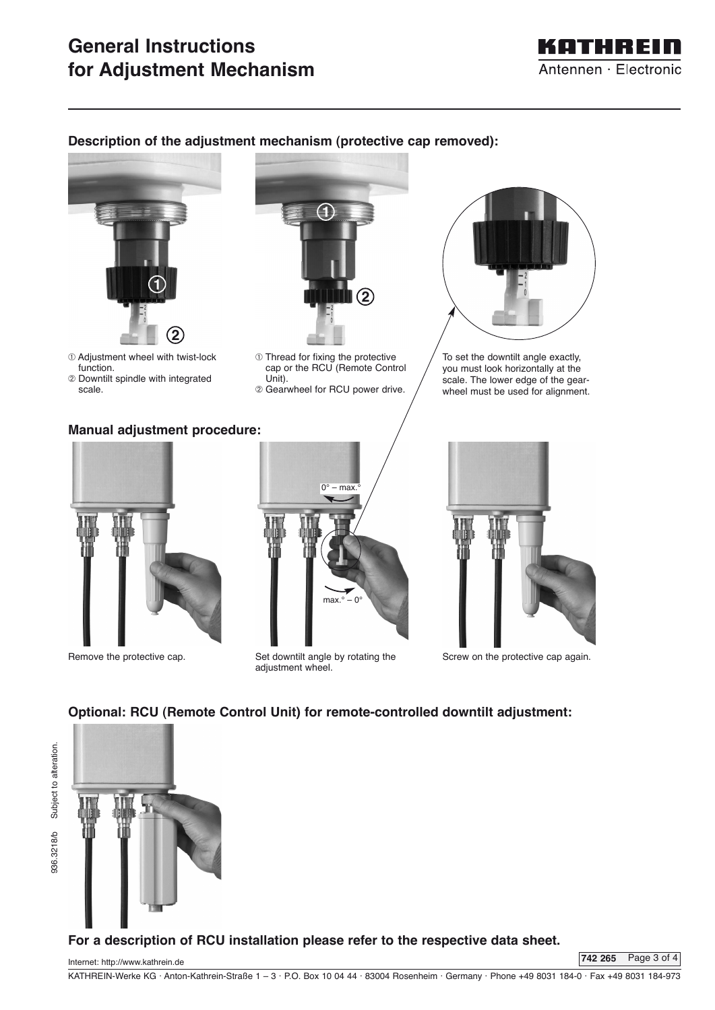# **General Instructions for Adjustment Mechanism**



### **Description of the adjustment mechanism (protective cap removed):**



➀ Adjustment wheel with twist-lock function.

➁ Downtilt spindle with integrated scale.

### **Manual adjustment procedure:**



- ➀ Thread for fixing the protective cap or the RCU (Remote Control Unit).
- ➁ Gearwheel for RCU power drive.



To set the downtilt angle exactly, you must look horizontally at the scale. The lower edge of the gearwheel must be used for alignment.









Screw on the protective cap again.

### **Optional: RCU (Remote Control Unit) for remote-controlled downtilt adjustment:**



### **For a description of RCU installation please refer to the respective data sheet.**

Internet: http://www.kathrein.de

**742 265** Page 3 of 4

KATHREIN-Werke KG . Anton-Kathrein-Straße 1 – 3 . P.O. Box 10 04 44 . 83004 Rosenheim . Germany . Phone +49 8031 184-0 . Fax +49 8031 184-973